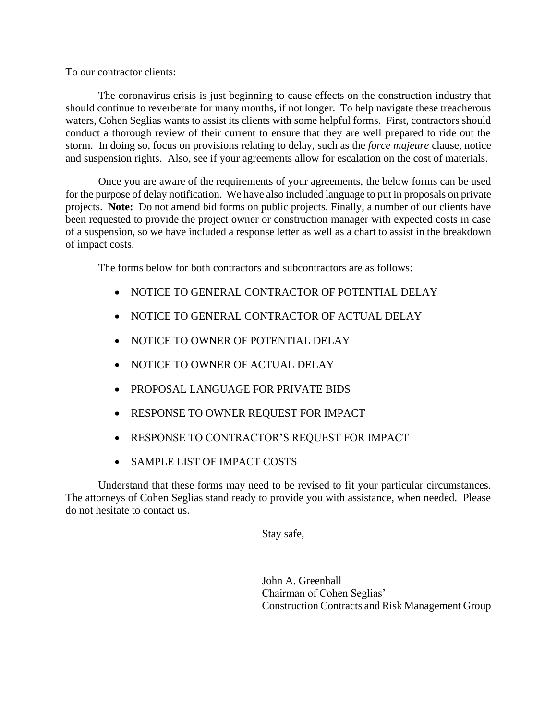To our contractor clients:

The coronavirus crisis is just beginning to cause effects on the construction industry that should continue to reverberate for many months, if not longer. To help navigate these treacherous waters, Cohen Seglias wants to assist its clients with some helpful forms. First, contractors should conduct a thorough review of their current to ensure that they are well prepared to ride out the storm. In doing so, focus on provisions relating to delay, such as the *force majeure* clause, notice and suspension rights. Also, see if your agreements allow for escalation on the cost of materials.

Once you are aware of the requirements of your agreements, the below forms can be used for the purpose of delay notification. We have also included language to put in proposals on private projects. **Note:** Do not amend bid forms on public projects. Finally, a number of our clients have been requested to provide the project owner or construction manager with expected costs in case of a suspension, so we have included a response letter as well as a chart to assist in the breakdown of impact costs.

The forms below for both contractors and subcontractors are as follows:

- NOTICE TO GENERAL CONTRACTOR OF POTENTIAL DELAY
- NOTICE TO GENERAL CONTRACTOR OF ACTUAL DELAY
- NOTICE TO OWNER OF POTENTIAL DELAY
- NOTICE TO OWNER OF ACTUAL DELAY
- PROPOSAL LANGUAGE FOR PRIVATE BIDS
- RESPONSE TO OWNER REQUEST FOR IMPACT
- RESPONSE TO CONTRACTOR'S REQUEST FOR IMPACT
- SAMPLE LIST OF IMPACT COSTS

Understand that these forms may need to be revised to fit your particular circumstances. The attorneys of Cohen Seglias stand ready to provide you with assistance, when needed. Please do not hesitate to contact us.

Stay safe,

John A. Greenhall Chairman of Cohen Seglias' Construction Contracts and Risk Management Group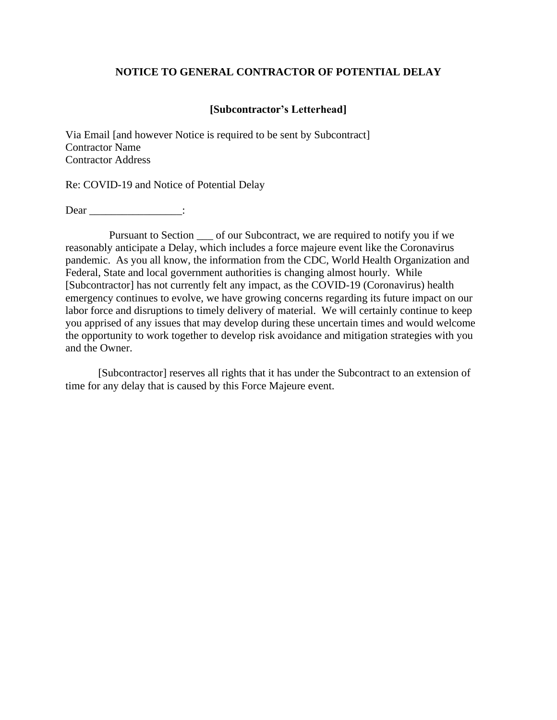## **NOTICE TO GENERAL CONTRACTOR OF POTENTIAL DELAY**

# **[Subcontractor's Letterhead]**

Via Email [and however Notice is required to be sent by Subcontract] Contractor Name Contractor Address

Re: COVID-19 and Notice of Potential Delay

Dear \_\_\_\_\_\_\_\_\_\_\_\_\_\_\_\_\_\_\_\_:

 Pursuant to Section \_\_\_ of our Subcontract, we are required to notify you if we reasonably anticipate a Delay, which includes a force majeure event like the Coronavirus pandemic. As you all know, the information from the CDC, World Health Organization and Federal, State and local government authorities is changing almost hourly. While [Subcontractor] has not currently felt any impact, as the COVID-19 (Coronavirus) health emergency continues to evolve, we have growing concerns regarding its future impact on our labor force and disruptions to timely delivery of material. We will certainly continue to keep you apprised of any issues that may develop during these uncertain times and would welcome the opportunity to work together to develop risk avoidance and mitigation strategies with you and the Owner.

[Subcontractor] reserves all rights that it has under the Subcontract to an extension of time for any delay that is caused by this Force Majeure event.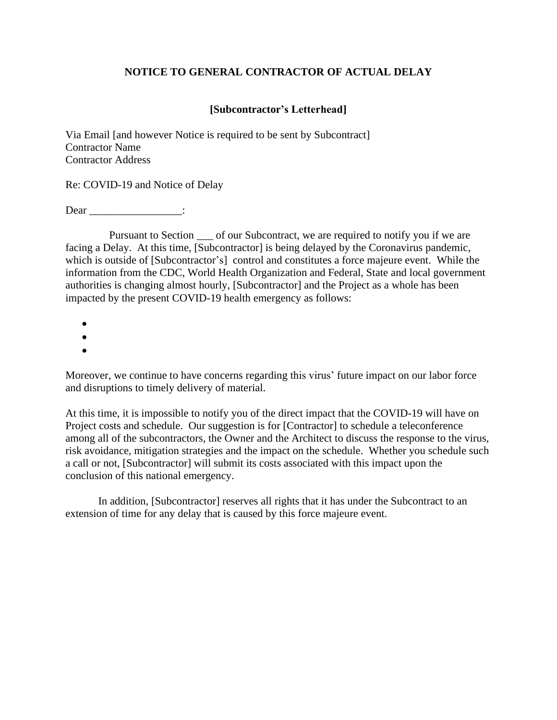# **NOTICE TO GENERAL CONTRACTOR OF ACTUAL DELAY**

# **[Subcontractor's Letterhead]**

Via Email [and however Notice is required to be sent by Subcontract] Contractor Name Contractor Address

Re: COVID-19 and Notice of Delay

Dear :

 Pursuant to Section \_\_\_ of our Subcontract, we are required to notify you if we are facing a Delay. At this time, [Subcontractor] is being delayed by the Coronavirus pandemic, which is outside of [Subcontractor's] control and constitutes a force majeure event. While the information from the CDC, World Health Organization and Federal, State and local government authorities is changing almost hourly, [Subcontractor] and the Project as a whole has been impacted by the present COVID-19 health emergency as follows:

- •
- •
- •

Moreover, we continue to have concerns regarding this virus' future impact on our labor force and disruptions to timely delivery of material.

At this time, it is impossible to notify you of the direct impact that the COVID-19 will have on Project costs and schedule. Our suggestion is for [Contractor] to schedule a teleconference among all of the subcontractors, the Owner and the Architect to discuss the response to the virus, risk avoidance, mitigation strategies and the impact on the schedule. Whether you schedule such a call or not, [Subcontractor] will submit its costs associated with this impact upon the conclusion of this national emergency.

In addition, [Subcontractor] reserves all rights that it has under the Subcontract to an extension of time for any delay that is caused by this force majeure event.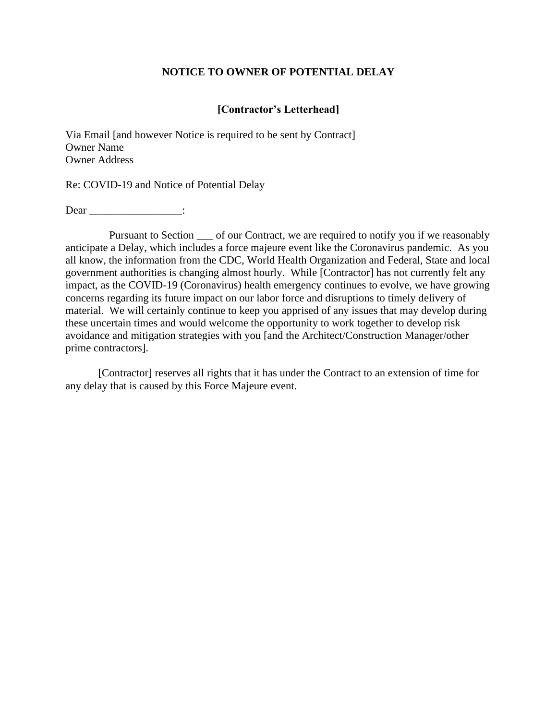#### **NOTICE TO OWNER OF POTENTIAL DELAY**

#### **[Contractor's Letterhead]**

Via Email [and however Notice is required to be sent by Contract] Owner Name Owner Address

Re: COVID-19 and Notice of Potential Delay

Dear \_\_\_\_\_\_\_\_\_\_\_\_\_\_\_\_\_\_\_\_:

Pursuant to Section  $\_\_$  of our Contract, we are required to notify you if we reasonably anticipate a Delay, which includes a force majeure event like the Coronavirus pandemic. As you all know, the information from the CDC, World Health Organization and Federal, State and local government authorities is changing almost hourly. While [Contractor] has not currently felt any impact, as the COVID-19 (Coronavirus) health emergency continues to evolve, we have growing concerns regarding its future impact on our labor force and disruptions to timely delivery of material. We will certainly continue to keep you apprised of any issues that may develop during these uncertain times and would welcome the opportunity to work together to develop risk avoidance and mitigation strategies with you [and the Architect/Construction Manager/other prime contractors].

[Contractor] reserves all rights that it has under the Contract to an extension of time for any delay that is caused by this Force Majeure event.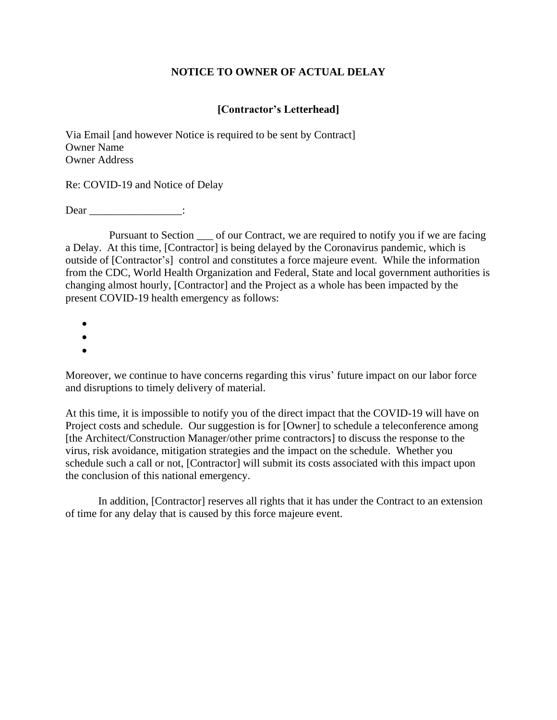# **NOTICE TO OWNER OF ACTUAL DELAY**

# **[Contractor's Letterhead]**

Via Email [and however Notice is required to be sent by Contract] Owner Name Owner Address

Re: COVID-19 and Notice of Delay

Dear :

Pursuant to Section  $\_\_$  of our Contract, we are required to notify you if we are facing a Delay. At this time, [Contractor] is being delayed by the Coronavirus pandemic, which is outside of [Contractor's] control and constitutes a force majeure event. While the information from the CDC, World Health Organization and Federal, State and local government authorities is changing almost hourly, [Contractor] and the Project as a whole has been impacted by the present COVID-19 health emergency as follows:

- •
- •
- •

Moreover, we continue to have concerns regarding this virus' future impact on our labor force and disruptions to timely delivery of material.

At this time, it is impossible to notify you of the direct impact that the COVID-19 will have on Project costs and schedule. Our suggestion is for [Owner] to schedule a teleconference among [the Architect/Construction Manager/other prime contractors] to discuss the response to the virus, risk avoidance, mitigation strategies and the impact on the schedule. Whether you schedule such a call or not, [Contractor] will submit its costs associated with this impact upon the conclusion of this national emergency.

In addition, [Contractor] reserves all rights that it has under the Contract to an extension of time for any delay that is caused by this force majeure event.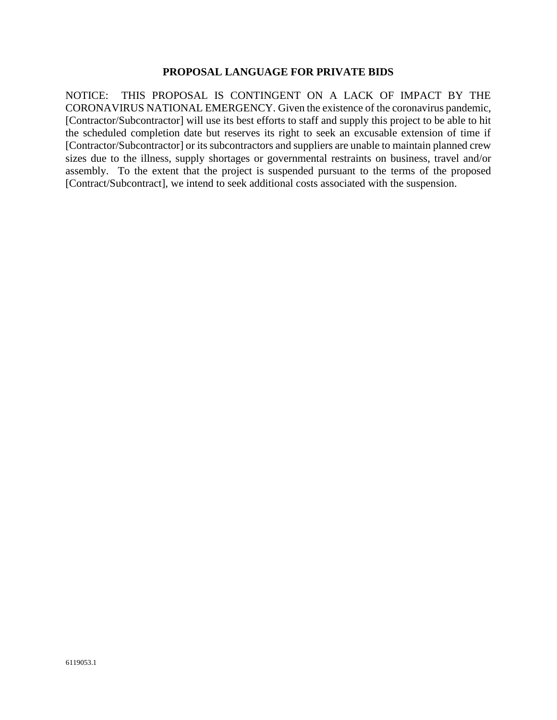#### **PROPOSAL LANGUAGE FOR PRIVATE BIDS**

NOTICE: THIS PROPOSAL IS CONTINGENT ON A LACK OF IMPACT BY THE CORONAVIRUS NATIONAL EMERGENCY. Given the existence of the coronavirus pandemic, [Contractor/Subcontractor] will use its best efforts to staff and supply this project to be able to hit the scheduled completion date but reserves its right to seek an excusable extension of time if [Contractor/Subcontractor] or its subcontractors and suppliers are unable to maintain planned crew sizes due to the illness, supply shortages or governmental restraints on business, travel and/or assembly. To the extent that the project is suspended pursuant to the terms of the proposed [Contract/Subcontract], we intend to seek additional costs associated with the suspension.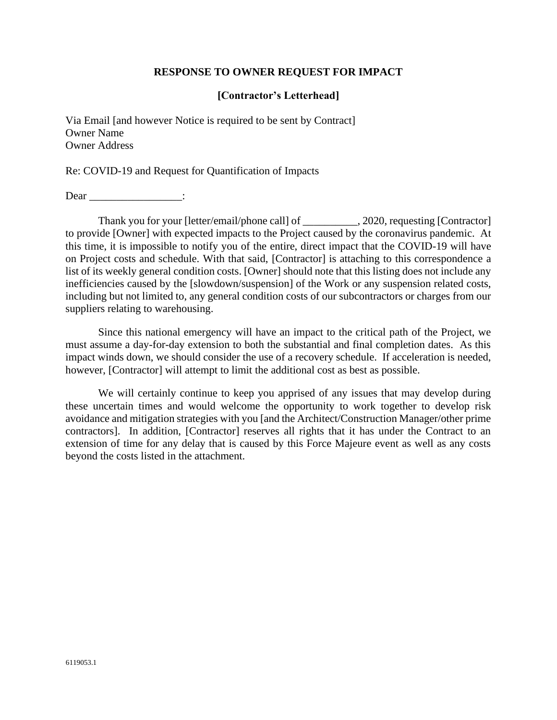## **RESPONSE TO OWNER REQUEST FOR IMPACT**

## **[Contractor's Letterhead]**

Via Email [and however Notice is required to be sent by Contract] Owner Name Owner Address

Re: COVID-19 and Request for Quantification of Impacts

Dear :

Thank you for your [letter/email/phone call] of \_\_\_\_\_\_\_\_\_\_, 2020, requesting [Contractor] to provide [Owner] with expected impacts to the Project caused by the coronavirus pandemic. At this time, it is impossible to notify you of the entire, direct impact that the COVID-19 will have on Project costs and schedule. With that said, [Contractor] is attaching to this correspondence a list of its weekly general condition costs. [Owner] should note that this listing does not include any inefficiencies caused by the [slowdown/suspension] of the Work or any suspension related costs, including but not limited to, any general condition costs of our subcontractors or charges from our suppliers relating to warehousing.

Since this national emergency will have an impact to the critical path of the Project, we must assume a day-for-day extension to both the substantial and final completion dates. As this impact winds down, we should consider the use of a recovery schedule. If acceleration is needed, however, [Contractor] will attempt to limit the additional cost as best as possible.

We will certainly continue to keep you apprised of any issues that may develop during these uncertain times and would welcome the opportunity to work together to develop risk avoidance and mitigation strategies with you [and the Architect/Construction Manager/other prime contractors]. In addition, [Contractor] reserves all rights that it has under the Contract to an extension of time for any delay that is caused by this Force Majeure event as well as any costs beyond the costs listed in the attachment.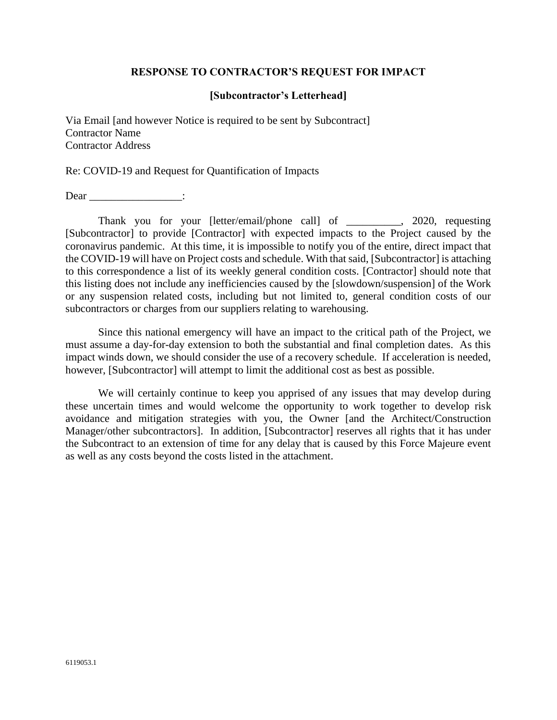#### **RESPONSE TO CONTRACTOR'S REQUEST FOR IMPACT**

#### **[Subcontractor's Letterhead]**

Via Email [and however Notice is required to be sent by Subcontract] Contractor Name Contractor Address

Re: COVID-19 and Request for Quantification of Impacts

Dear \_\_\_\_\_\_\_\_\_\_\_\_\_\_\_\_\_\_\_:

Thank you for your [letter/email/phone call] of \_\_\_\_\_\_\_\_\_\_, 2020, requesting [Subcontractor] to provide [Contractor] with expected impacts to the Project caused by the coronavirus pandemic. At this time, it is impossible to notify you of the entire, direct impact that the COVID-19 will have on Project costs and schedule. With that said, [Subcontractor] is attaching to this correspondence a list of its weekly general condition costs. [Contractor] should note that this listing does not include any inefficiencies caused by the [slowdown/suspension] of the Work or any suspension related costs, including but not limited to, general condition costs of our subcontractors or charges from our suppliers relating to warehousing.

Since this national emergency will have an impact to the critical path of the Project, we must assume a day-for-day extension to both the substantial and final completion dates. As this impact winds down, we should consider the use of a recovery schedule. If acceleration is needed, however, [Subcontractor] will attempt to limit the additional cost as best as possible.

We will certainly continue to keep you apprised of any issues that may develop during these uncertain times and would welcome the opportunity to work together to develop risk avoidance and mitigation strategies with you, the Owner [and the Architect/Construction Manager/other subcontractors]. In addition, [Subcontractor] reserves all rights that it has under the Subcontract to an extension of time for any delay that is caused by this Force Majeure event as well as any costs beyond the costs listed in the attachment.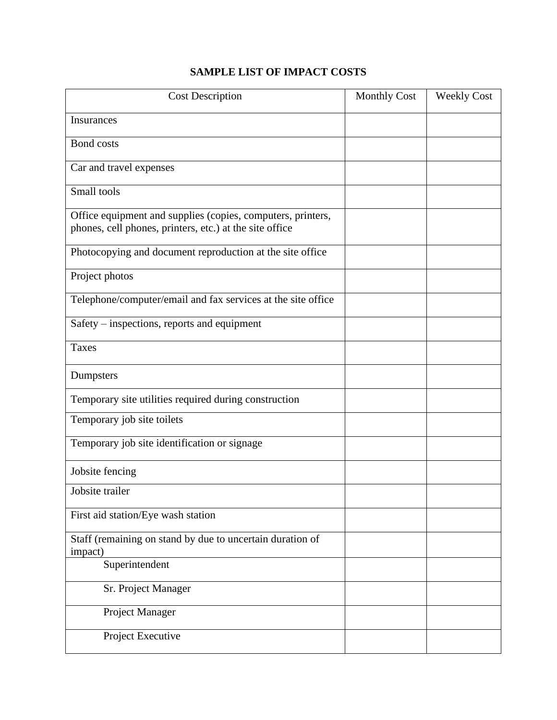# **SAMPLE LIST OF IMPACT COSTS**

| <b>Cost Description</b>                                                                                                | <b>Monthly Cost</b> | <b>Weekly Cost</b> |
|------------------------------------------------------------------------------------------------------------------------|---------------------|--------------------|
| Insurances                                                                                                             |                     |                    |
| <b>Bond</b> costs                                                                                                      |                     |                    |
| Car and travel expenses                                                                                                |                     |                    |
| Small tools                                                                                                            |                     |                    |
| Office equipment and supplies (copies, computers, printers,<br>phones, cell phones, printers, etc.) at the site office |                     |                    |
| Photocopying and document reproduction at the site office                                                              |                     |                    |
| Project photos                                                                                                         |                     |                    |
| Telephone/computer/email and fax services at the site office                                                           |                     |                    |
| Safety – inspections, reports and equipment                                                                            |                     |                    |
| <b>Taxes</b>                                                                                                           |                     |                    |
| Dumpsters                                                                                                              |                     |                    |
| Temporary site utilities required during construction                                                                  |                     |                    |
| Temporary job site toilets                                                                                             |                     |                    |
| Temporary job site identification or signage                                                                           |                     |                    |
| Jobsite fencing                                                                                                        |                     |                    |
| Jobsite trailer                                                                                                        |                     |                    |
| First aid station/Eye wash station                                                                                     |                     |                    |
| Staff (remaining on stand by due to uncertain duration of<br>impact)                                                   |                     |                    |
| Superintendent                                                                                                         |                     |                    |
| Sr. Project Manager                                                                                                    |                     |                    |
| Project Manager                                                                                                        |                     |                    |
| Project Executive                                                                                                      |                     |                    |